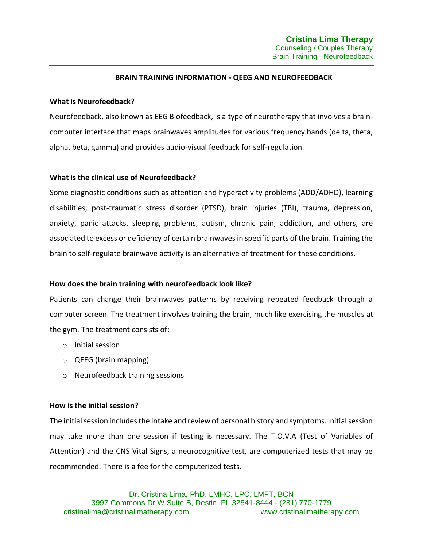## **BRAIN TRAINING INFORMATION - QEEG AND NEUROFEEDBACK**

### **What is Neurofeedback?**

Neurofeedback, also known as EEG Biofeedback, is a type of neurotherapy that involves a braincomputer interface that maps brainwaves amplitudes for various frequency bands (delta, theta, alpha, beta, gamma) and provides audio-visual feedback for self-regulation.

### **What is the clinical use of Neurofeedback?**

Some diagnostic conditions such as attention and hyperactivity problems (ADD/ADHD), learning disabilities, post-traumatic stress disorder (PTSD), brain injuries (TBI), trauma, depression, anxiety, panic attacks, sleeping problems, autism, chronic pain, addiction, and others, are associated to excess or deficiency of certain brainwaves in specific parts of the brain. Training the brain to self-regulate brainwave activity is an alternative of treatment for these conditions.

# **How does the brain training with neurofeedback look like?**

Patients can change their brainwaves patterns by receiving repeated feedback through a computer screen. The treatment involves training the brain, much like exercising the muscles at the gym. The treatment consists of:

- o Initial session
- o QEEG (brain mapping)
- o Neurofeedback training sessions

# **How is the initial session?**

The initial session includes the intake and review of personal history and symptoms. Initial session may take more than one session if testing is necessary. The T.O.V.A (Test of Variables of Attention) and the CNS Vital Signs, a neurocognitive test, are computerized tests that may be recommended. There is a fee for the computerized tests.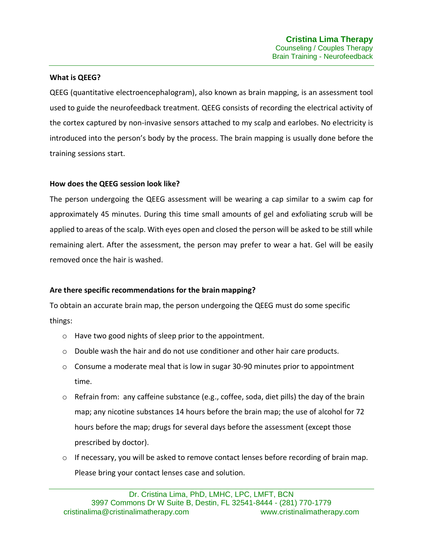## **What is QEEG?**

QEEG (quantitative electroencephalogram), also known as brain mapping, is an assessment tool used to guide the neurofeedback treatment. QEEG consists of recording the electrical activity of the cortex captured by non-invasive sensors attached to my scalp and earlobes. No electricity is introduced into the person's body by the process. The brain mapping is usually done before the training sessions start.

### **How does the QEEG session look like?**

The person undergoing the QEEG assessment will be wearing a cap similar to a swim cap for approximately 45 minutes. During this time small amounts of gel and exfoliating scrub will be applied to areas of the scalp. With eyes open and closed the person will be asked to be still while remaining alert. After the assessment, the person may prefer to wear a hat. Gel will be easily removed once the hair is washed.

# **Are there specific recommendations for the brain mapping?**

To obtain an accurate brain map, the person undergoing the QEEG must do some specific things:

- o Have two good nights of sleep prior to the appointment.
- $\circ$  Double wash the hair and do not use conditioner and other hair care products.
- $\circ$  Consume a moderate meal that is low in sugar 30-90 minutes prior to appointment time.
- $\circ$  Refrain from: any caffeine substance (e.g., coffee, soda, diet pills) the day of the brain map; any nicotine substances 14 hours before the brain map; the use of alcohol for 72 hours before the map; drugs for several days before the assessment (except those prescribed by doctor).
- $\circ$  If necessary, you will be asked to remove contact lenses before recording of brain map. Please bring your contact lenses case and solution.